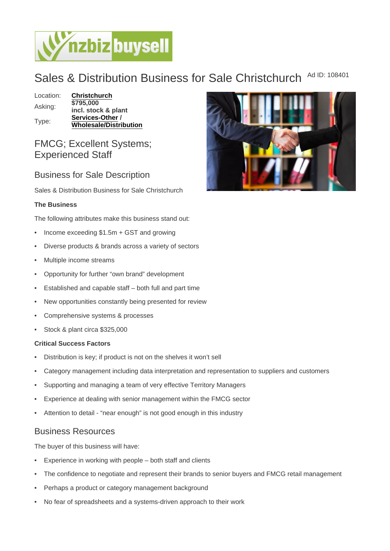## Sales & Distribution Business for Sale Christchurch Ad ID: 108401

Location: [Christchurch](https://www.nzbizbuysell.co.nz/businesses-for-sale/location/Christchurch) Asking: \$795,000 incl. stock & plant Type: [Services-Other](https://www.nzbizbuysell.co.nz/businesses-for-sale/Services/New-Zealand) /

Wholesale/Distribution

FMCG; Excellent Systems; Experienced Staff

Business for Sale Description

Sales & Distribution Business for Sale Christchurch

The Business

The following attributes make this business stand out:

- Income exceeding \$1.5m + GST and growing
- Diverse products & brands across a variety of sectors
- Multiple income streams
- Opportunity for further "own brand" development
- Established and capable staff both full and part time
- New opportunities constantly being presented for review
- Comprehensive systems & processes
- Stock & plant circa \$325,000

Critical Success Factors

- Distribution is key; if product is not on the shelves it won't sell
- Category management including data interpretation and representation to suppliers and customers
- Supporting and managing a team of very effective Territory Managers
- Experience at dealing with senior management within the FMCG sector
- Attention to detail "near enough" is not good enough in this industry

## Business Resources

The buyer of this business will have:

- Experience in working with people both staff and clients
- The confidence to negotiate and represent their brands to senior buyers and FMCG retail management
- Perhaps a product or category management background
- No fear of spreadsheets and a systems-driven approach to their work